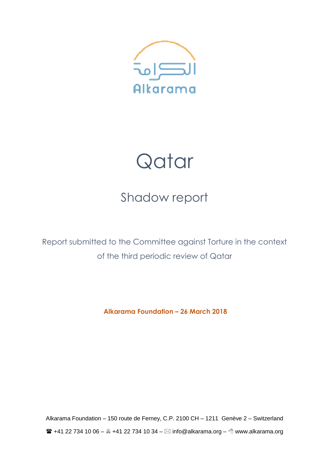

# Qatar

# Shadow report

Report submitted to the Committee against Torture in the context of the third periodic review of Qatar

**Alkarama Foundation – 26 March 2018** 

Alkarama Foundation – 150 route de Ferney, C.P. 2100 CH – 1211 Genève 2 – Switzerland  $\mathbf{R}$  +41 22 734 10 06 –  $\mathbf{R}$  +41 22 734 10 34 –  $\boxtimes$  info@alkarama.org –  $\Diamond$  www.alkarama.org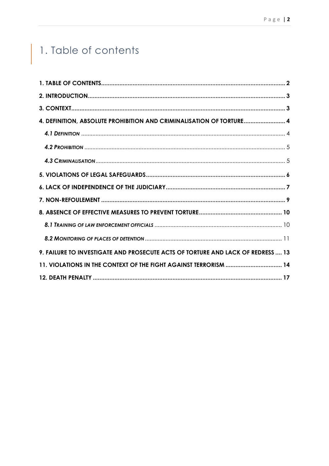# 1. Table of contents

I

| 4. DEFINITION, ABSOLUTE PROHIBITION AND CRIMINALISATION OF TORTURE 4            |  |
|---------------------------------------------------------------------------------|--|
|                                                                                 |  |
|                                                                                 |  |
|                                                                                 |  |
|                                                                                 |  |
|                                                                                 |  |
|                                                                                 |  |
|                                                                                 |  |
|                                                                                 |  |
|                                                                                 |  |
| 9. FAILURE TO INVESTIGATE AND PROSECUTE ACTS OF TORTURE AND LACK OF REDRESS  13 |  |
| 11. VIOLATIONS IN THE CONTEXT OF THE FIGHT AGAINST TERRORISM  14                |  |
|                                                                                 |  |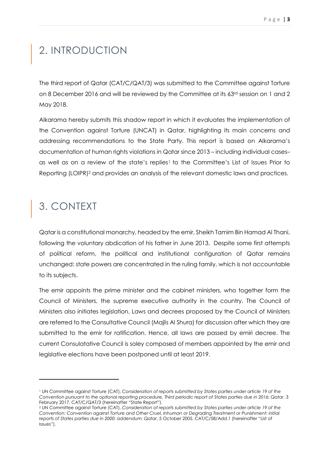### 2. INTRODUCTION

The third report of Qatar (CAT/C/QAT/3) was submitted to the Committee against Torture on 8 December 2016 and will be reviewed by the Committee at its 63rd session on 1 and 2 May 2018.

Alkarama hereby submits this shadow report in which it evaluates the implementation of the Convention against Torture (UNCAT) in Qatar, highlighting its main concerns and addressing recommendations to the State Party. This report is based on Alkarama's documentation of human rights violations in Qatar since 2013 – including individual cases– as well as on a review of the state's replies<sup>1</sup> to the Committee's List of Issues Prior to Reporting (LOIPR)2 and provides an analysis of the relevant domestic laws and practices.

### 3. CONTEXT

 $\overline{a}$ 

Qatar is a constitutional monarchy, headed by the emir, Sheikh Tamim Bin Hamad Al Thani, following the voluntary abdication of his father in June 2013. Despite some first attempts of political reform, the political and institutional configuration of Qatar remains unchanged: state powers are concentrated in the ruling family, which is not accountable to its subjects.

The emir appoints the prime minister and the cabinet ministers, who together form the Council of Ministers, the supreme executive authority in the country. The Council of Ministers also initiates legislation. Laws and decrees proposed by the Council of Ministers are referred to the Consultative Council (Majlis Al Shura) for discussion after which they are submitted to the emir for ratification. Hence, all laws are passed by emiri decree. The current Consulatative Council is soley composed of members appointed by the emir and legislative elections have been postponed until at least 2019.

<sup>1</sup> UN Committee against Torture (CAT), *Consideration of reports submitted by States parties under article 19 of the Convention pursuant to the optional reporting procedure, Third periodic report of States parties due in 2016: Qatar*, 3 February 2017, CAT/C/QAT/3 (hereinafter "State Report").

<sup>2</sup> UN Committee against Torture (CAT), *Consideration of reports submitted by States parties under article 19 of the Convention: Convention against Torture and Other Cruel, Inhuman or Degrading Treatment or Punishment: initial reports of States parties due in 2000: addendum: Qatar*, 5 October 2005, CAT/C/58/Add.1 (hereinafter "List of Issues").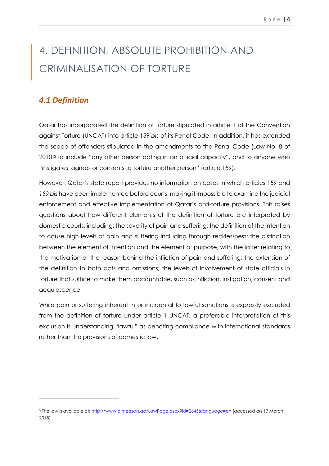# 4. DEFINITION, ABSOLUTE PROHIBITION AND CRIMINALISATION OF TORTURE

### *4.1 Definition*

 $\overline{a}$ 

Qatar has incorporated the definition of torture stipulated in article 1 of the Convention against Torture (UNCAT) into article 159 *bis* of its Penal Code. In addition, it has extended the scope of offenders stipulated in the amendments to the Penal Code (Law No. 8 of 2010)3 to include "any other person acting in an official capacity", and to anyone who "instigates, agrees or consents to torture another person" (article 159).

However, Qatar's state report provides no information on cases in which articles 159 and *159 bis* have been implemented before courts, making it impossible to examine the judicial enforcement and effective implementation of Qatar's anti-torture provisions. This raises questions about how different elements of the definition of torture are interpreted by domestic courts, including: the severity of pain and suffering; the definition of the intention to cause high levels of pain and suffering including through recklessness; the distinction between the element of intention and the element of purpose, with the latter relating to the motivation or the reason behind the infliction of pain and suffering; the extension of the definition to both acts and omissions; the levels of involvement of state officials in torture that suffice to make them accountable, such as infliction, instigation, consent and acquiescence.

While pain or suffering inherent in or incidental to lawful sanctions is expressly excluded from the definition of torture under article 1 UNCAT, a preferable interpretation of this exclusion is understanding "lawful" as denoting compliance with international standards rather than the provisions of domestic law.

<sup>3</sup> The law is available at: http://www.almeezan.ga/LawPage.aspx?id=2645&language=en (accessed on 19 March 2018).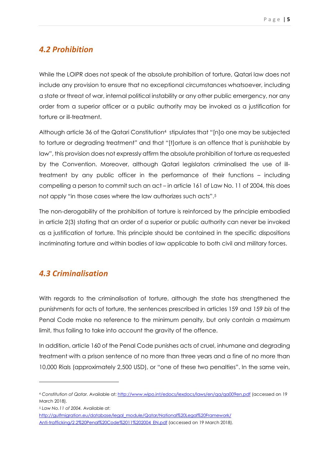### *4.2 Prohibition*

While the LOIPR does not speak of the absolute prohibition of torture, Qatari law does not include any provision to ensure that no exceptional circumstances whatsoever, including a state or threat of war, internal political instability or any other public emergency, nor any order from a superior officer or a public authority may be invoked as a justification for torture or ill-treatment.

Although article 36 of the Qatari Constitution4 stipulates that "[n]o one may be subjected to torture or degrading treatment" and that "[t]orture is an offence that is punishable by law", this provision does not expressly affirm the absolute prohibition of torture as requested by the Convention. Moreover, although Qatari legislators criminalised the use of illtreatment by any public officer in the performance of their functions – including compelling a person to commit such an act – in article 161 of Law No. 11 of 2004, this does not apply "in those cases where the law authorizes such acts".<sup>5</sup>

The non-derogability of the prohibition of torture is reinforced by the principle embodied in article 2(3) stating that an order of a superior or public authority can never be invoked as a justification of torture. This principle should be contained in the specific dispositions incriminating torture and within bodies of law applicable to both civil and military forces.

### *4.3 Criminalisation*

With regards to the criminalisation of torture, although the state has strengthened the punishments for acts of torture, the sentences prescribed in articles 159 and 159 *bis* of the Penal Code make no reference to the minimum penalty, but only contain a maximum limit, thus failing to take into account the gravity of the offence.

In addition, article 160 of the Penal Code punishes acts of cruel, inhumane and degrading treatment with a prison sentence of no more than three years and a fine of no more than 10,000 Rials (approximately 2,500 USD), or "one of these two penalties". In the same vein,

<sup>4</sup> *Constitution of Qatar.* Available at: http://www.wipo.int/edocs/lexdocs/laws/en/qa/qa009en.pdf (accessed on 19 March 2018).

<sup>5</sup> *Law No.11 of 2004.* Available at:

http://gulfmigration.eu/database/legal\_module/Qatar/National%20Legal%20Framework/ Anti-trafficking/2.2%20Penal%20Code%2011%202004\_EN.pdf (accessed on 19 March 2018).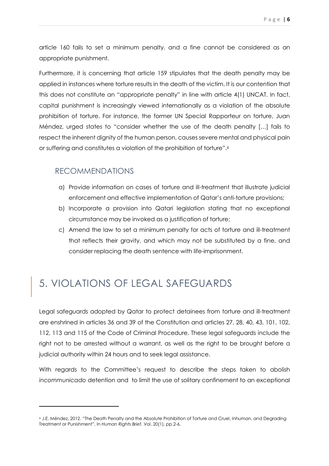article 160 fails to set a minimum penalty, and a fine cannot be considered as an appropriate punishment.

Furthermore, it is concerning that article 159 stipulates that the death penalty may be applied in instances where torture results in the death of the victim. It is our contention that this does not constitute an "appropriate penalty" in line with article 4(1) UNCAT. In fact, capital punishment is increasingly viewed internationally as a violation of the absolute prohibition of torture. For instance, the former UN Special Rapporteur on torture, Juan Méndez, urged states to "consider whether the use of the death penalty […] fails to respect the inherent dignity of the human person, causes severe mental and physical pain or suffering and constitutes a violation of the prohibition of torture".<sup>6</sup>

### RECOMMENDATIONS

 $\overline{a}$ 

- a) Provide information on cases of torture and ill-treatment that illustrate judicial enforcement and effective implementation of Qatar's anti-torture provisions;
- b) Incorporate a provision into Qatari legislation stating that no exceptional circumstance may be invoked as a justification of torture;
- c) Amend the law to set a minimum penalty for acts of torture and ill-treatment that reflects their gravity, and which may not be substituted by a fine, and consider replacing the death sentence with life-imprisonment.

### 5. VIOLATIONS OF LEGAL SAFEGUARDS

Legal safeguards adopted by Qatar to protect detainees from torture and ill-treatment are enshrined in articles 36 and 39 of the Constitution and articles 27, 28, 40, 43, 101, 102, 112, 113 and 115 of the Code of Criminal Procedure. These legal safeguards include the right not to be arrested without a warrant, as well as the right to be brought before a judicial authority within 24 hours and to seek legal assistance.

With regards to the Committee's request to describe the steps taken to abolish *incommunicado* detention and to limit the use of solitary confinement to an exceptional

<sup>6</sup> J.E. Méndez, 2012. "The Death Penalty and the Absolute Prohibition of Torture and Cruel, Inhuman, and Degrading Treatment or Punishment", In *Human Rights Brief,* Vol. 20(1), pp.2-6.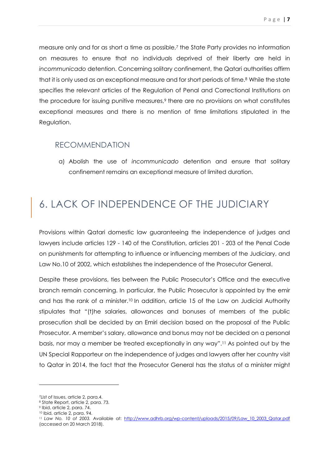measure only and for as short a time as possible,7 the State Party provides no information on measures to ensure that no individuals deprived of their liberty are held in *incommunicado* detention. Concerning solitary confinement, the Qatari authorities affirm that it is only used as an exceptional measure and for short periods of time.8 While the state specifies the relevant articles of the Regulation of Penal and Correctional Institutions on the procedure for issuing punitive measures,<sup>9</sup> there are no provisions on what constitutes exceptional measures and there is no mention of time limitations stipulated in the Regulation.

#### RECOMMENDATION

a) Abolish the use of *incommunicado* detention and ensure that solitary confinement remains an exceptional measure of limited duration.

### 6. LACK OF INDEPENDENCE OF THE JUDICIARY

Provisions within Qatari domestic law guaranteeing the independence of judges and lawyers include articles 129 - 140 of the Constitution, articles 201 - 203 of the Penal Code on punishments for attempting to influence or influencing members of the Judiciary, and Law No.10 of 2002, which establishes the independence of the Prosecutor General.

Despite these provisions, ties between the Public Prosecutor's Office and the executive branch remain concerning. In particular, the Public Prosecutor is appointed by the emir and has the rank of a minister.10 In addition, article 15 of the Law on Judicial Authority stipulates that "(t)he salaries, allowances and bonuses of members of the public prosecution shall be decided by an Emiri decision based on the proposal of the Public Prosecutor. A member's salary, allowance and bonus may not be decided on a personal basis, nor may a member be treated exceptionally in any way".11 As pointed out by the UN Special Rapporteur on the independence of judges and lawyers after her country visit to Qatar in 2014, the fact that the Prosecutor General has the status of a minister might

<sup>7</sup>List of Issues, article 2, para.4.

<sup>8</sup> State Report, article 2, para. 73.

<sup>9</sup> Ibid, article 2, para. 74.

<sup>10</sup> Ibid, article 2, para. 94.

<sup>&</sup>lt;sup>11</sup> Law No. 10 of 2003. Available at: http://www.adhrb.org/wp-content/uploads/2015/09/Law 10\_2003\_Qatar.pdf (accessed on 20 March 2018).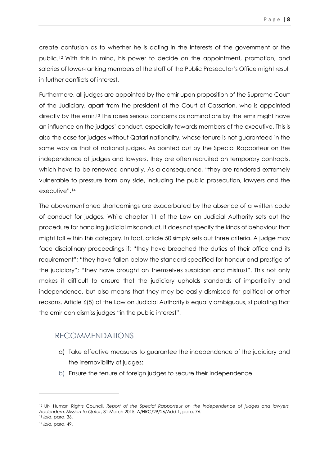create confusion as to whether he is acting in the interests of the government or the public.12 With this in mind, his power to decide on the appointment, promotion, and salaries of lower-ranking members of the staff of the Public Prosecutor's Office might result in further conflicts of interest.

Furthermore, all judges are appointed by the emir upon proposition of the Supreme Court of the Judiciary, apart from the president of the Court of Cassation, who is appointed directly by the emir.<sup>13</sup> This raises serious concerns as nominations by the emir might have an influence on the judges' conduct, especially towards members of the executive. This is also the case for judges without Qatari nationality, whose tenure is not guaranteed in the same way as that of national judges. As pointed out by the Special Rapporteur on the independence of judges and lawyers, they are often recruited on temporary contracts, which have to be renewed annually. As a consequence, "they are rendered extremely vulnerable to pressure from any side, including the public prosecution, lawyers and the executive".<sup>14</sup>

The abovementioned shortcomings are exacerbated by the absence of a written code of conduct for judges. While chapter 11 of the Law on Judicial Authority sets out the procedure for handling judicial misconduct, it does not specify the kinds of behaviour that might fall within this category. In fact, article 50 simply sets out three criteria. A judge may face disciplinary proceedings if: "they have breached the duties of their office and its requirement"; "they have fallen below the standard specified for honour and prestige of the judiciary"; "they have brought on themselves suspicion and mistrust". This not only makes it difficult to ensure that the judiciary upholds standards of impartiality and independence, but also means that they may be easily dismissed for political or other reasons. Article 6(5) of the Law on Judicial Authority is equally ambiguous, stipulating that the emir can dismiss judges "in the public interest".

#### RECOMMENDATIONS

- a) Take effective measures to guarantee the independence of the judiciary and the irremovibility of judges;
- b) Ensure the tenure of foreign judges to secure their independence.

<sup>12</sup> UN Human Rights Council, *Report of the Special Rapporteur on the independence of judges and lawyers, Addendum: Mission to Qatar*, 31 March 2015, A/HRC/29/26/Add.1, para. 76.

<sup>13</sup> *Ibid*, para. 36.

<sup>14</sup> *Ibid,* para. 49.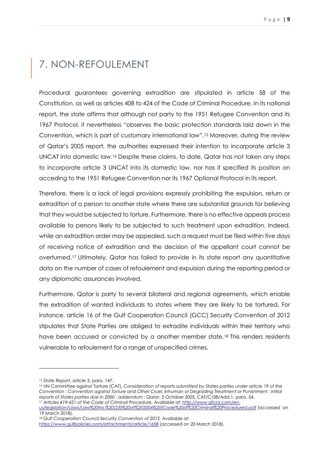### 7. NON-REFOULEMENT

Procedural guarantees governing extradition are stipulated in article 58 of the Constitution, as well as articles 408 to 424 of the Code of Criminal Procedure. In its national report, the state affirms that although not party to the 1951 Refugee Convention and its 1967 Protocol, it nevertheless "observes the basic protection standards laid down in the Convention, which is part of customary international law".15 Moreover, during the review of Qatar's 2005 report, the authorities expressed their intention to incorporate article 3 UNCAT into domestic law.16 Despite these claims, to date, Qatar has not taken any steps to incorporate article 3 UNCAT into its domestic law, nor has it specified its position on acceding to the 1951 Refugee Convention nor its 1967 Optional Protocol in its report.

Therefore, there is a lack of legal provisions expressly prohibiting the expulsion, return or extradition of a person to another state where there are substantial grounds for believing that they would be subjected to torture. Furthermore, there is no effective appeals process available to persons likely to be subjected to such treatment upon extradition. Indeed, while an extradition order may be appealed, such a request must be filed within five days of receiving notice of extradition and the decision of the appellant court cannot be overturned.17 Ultimately, Qatar has failed to provide in its state report any quantitative data on the number of cases of refoulement and expulsion during the reporting period or any diplomatic assurances involved.

Furthermore, Qatar is party to several bilateral and regional agreements, which enable the extradition of wanted individuals to states where they are likely to be tortured. For instance, article 16 of the Gulf Cooperation Council (GCC) Security Convention of 2012 stipulates that State Parties are obliged to extradite individuals within their territory who have been accused or convicted by a another member state.<sup>18</sup> This renders residents vulnerable to refoulement for a range of unspecified crimes.

<sup>15</sup> *State Report*, article 3, para. 147.

<sup>16</sup> UN Committee against Torture (CAT), *Consideration of reports submitted by States parties under article 19 of the Convention : Convention against Torture and Other Cruel, Inhuman or Degrading Treatment or Punishment : initial reports of States parties due in 2000 : addendum : Qatar*, 5 October 2005, CAT/C/58/Add.1, para. 54. <sup>17</sup> *Articles 419-421 of the Code of Criminal Procedure.* Available at: http://www.qfcra.com/en-

us/legislation/Laws/Law%20No.%20(23)%20of%202004%20(Code%20of%20Criminal%20Procedures).pdf (accessed on 19 March 2018).

<sup>&</sup>lt;sup>18</sup> Gulf Cooperation Council Security Convention of 2012. Available at: https://www.gulfpolicies.com/attachments/article/1658 (accessed on 20 March 2018).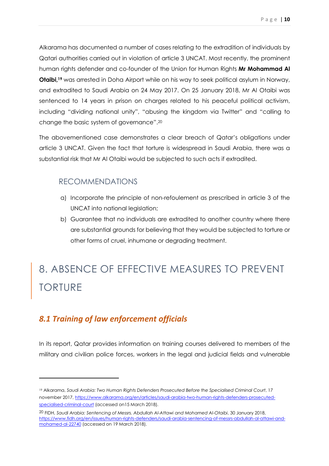Alkarama has documented a number of cases relating to the extradition of individuals by Qatari authorities carried out in violation of article 3 UNCAT. Most recently, the prominent human rights defender and co-founder of the Union for Human Rights **Mr Mohammad Al Otaibi,<sup>19</sup>** was arrested in Doha Airport while on his way to seek political asylum in Norway, and extradited to Saudi Arabia on 24 May 2017. On 25 January 2018, Mr Al Otaibi was sentenced to 14 years in prison on charges related to his peaceful political activism, including "dividing national unity", "abusing the kingdom via Twitter" and "calling to change the basic system of governance".<sup>20</sup>

The abovementioned case demonstrates a clear breach of Qatar's obligations under article 3 UNCAT. Given the fact that torture is widespread in Saudi Arabia, there was a substantial risk that Mr Al Otaibi would be subjected to such acts if extradited.

### RECOMMENDATIONS

- a) Incorporate the principle of non-refoulement as prescribed in article 3 of the UNCAT into national legislation;
- b) Guarantee that no individuals are extradited to another country where there are substantial grounds for believing that they would be subjected to torture or other forms of cruel, inhumane or degrading treatment.

# 8. ABSENCE OF EFFECTIVE MEASURES TO PREVENT TORTURE

### *8.1 Training of law enforcement officials*

l

In its report, Qatar provides information on training courses delivered to members of the military and civilian police forces, workers in the legal and judicial fields and vulnerable

<sup>19</sup> Alkarama, *Saudi Arabia: Two Human Rights Defenders Prosecuted Before the Specialised Criminal Court*, 17 november 2017, https://www.alkarama.org/en/articles/saudi-arabia-two-human-rights-defenders-prosecutedspecialised-criminal-court (accessed on15 March 2018).

<sup>20</sup> FIDH, *Saudi Arabia: Sentencing of Messrs. Abdullah Al-Attawi and Mohamed Al-Otaibi*, 30 January 2018, https://www.fidh.org/en/issues/human-rights-defenders/saudi-arabia-sentencing-of-messrs-abdullah-al-attawi-andmohamed-al-22740 (accessed on 19 March 2018).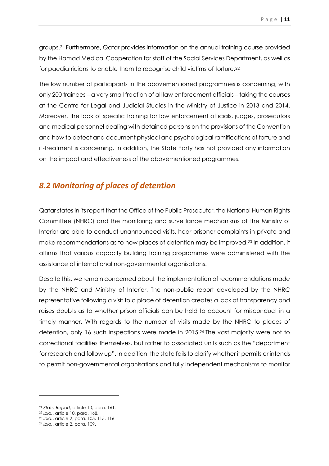groups.21 Furthermore, Qatar provides information on the annual training course provided by the Hamad Medical Cooperation for staff of the Social Services Department, as well as for paediatricians to enable them to recognise child victims of torture.<sup>22</sup>

The low number of participants in the abovementioned programmes is concerning, with only 200 trainees – a very small fraction of all law enforcement officials – taking the courses at the Centre for Legal and Judicial Studies in the Ministry of Justice in 2013 and 2014. Moreover, the lack of specific training for law enforcement officials, judges, prosecutors and medical personnel dealing with detained persons on the provisions of the Convention and how to detect and document physical and psychological ramifications of torture and ill-treatment is concerning. In addition, the State Party has not provided any information on the impact and effectiveness of the abovementioned programmes.

### *8.2 Monitoring of places of detention*

Qatar states in its report that the Office of the Public Prosecutor, the National Human Rights Committee (NHRC) and the monitoring and surveillance mechanisms of the Ministry of Interior are able to conduct unannounced visits, hear prisoner complaints in private and make recommendations as to how places of detention may be improved.23 In addition, it affirms that various capacity building training programmes were administered with the assistance of international non-governmental organisations.

Despite this, we remain concerned about the implementation of recommendations made by the NHRC and Ministry of Interior. The non-public report developed by the NHRC representative following a visit to a place of detention creates a lack of transparency and raises doubts as to whether prison officials can be held to account for misconduct in a timely manner. With regards to the number of visits made by the NHRC to places of detention, only 16 such inspections were made in 2015.24 The vast majority were not to correctional facilities themselves, but rather to associated units such as the "department for research and follow up". In addition, the state fails to clarify whether it permits or intends to permit non-governmental organisations and fully independent mechanisms to monitor

<sup>21</sup> *State Report*, article 10, para. 161.

<sup>22</sup> *Ibid.*, article 10, para. 168.

<sup>23</sup> *Ibid.*, article 2, para. 105, 115, 116.

<sup>24</sup> *Ibid.*, article 2, para. 109.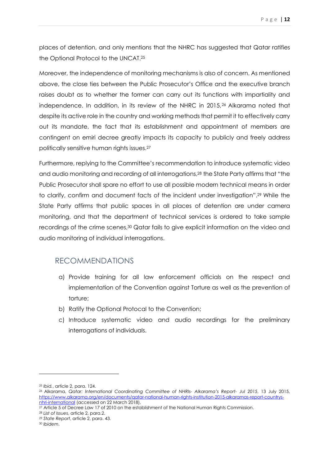places of detention, and only mentions that the NHRC has suggested that Qatar ratifies the Optional Protocol to the UNCAT.<sup>25</sup>

Moreover, the independence of monitoring mechanisms is also of concern. As mentioned above, the close ties between the Public Prosecutor's Office and the executive branch raises doubt as to whether the former can carry out its functions with impartiality and independence. In addition, in its review of the NHRC in 2015,26 Alkarama noted that despite its active role in the country and working methods that permit it to effectively carry out its mandate, the fact that its establishment and appointment of members are contingent on emiri decree greatly impacts its capacity to publicly and freely address politically sensitive human rights issues.<sup>27</sup>

Furthermore, replying to the Committee's recommendation to introduce systematic video and audio monitoring and recording of all interrogations,28 the State Party affirms that "the Public Prosecutor shall spare no effort to use all possible modern technical means in order to clarify, confirm and document facts of the incident under investigation".29 While the State Party affirms that public spaces in all places of detention are under camera monitoring, and that the department of technical services is ordered to take sample recordings of the crime scenes,30 Qatar fails to give explicit information on the video and audio monitoring of individual interrogations.

#### RECOMMENDATIONS

- a) Provide training for all law enforcement officials on the respect and implementation of the Convention against Torture as well as the prevention of torture;
- b) Ratify the Optional Protocal to the Convention;
- c) Introduce systematic video and audio recordings for the preliminary interrogations of individuals.

<sup>25</sup> *Ibid.*, article 2, para. 124.

<sup>26</sup> Alkarama, *Qatar: International Coordinating Committee of NHRIs- Alkarama's Report- Jul 2015*, 13 July 2015, https://www.alkarama.org/en/documents/qatar-national-human-rights-institution-2015-alkaramas-report-countrysnhri-international (accessed on 22 March 2018).

<sup>27</sup> Article 5 of Decree Law 17 of 2010 on the establishment of the National Human Rights Commission.

<sup>28</sup> *List of Issues*, article 2, para.2.

<sup>29</sup> *State Report*, article 2, para. 43.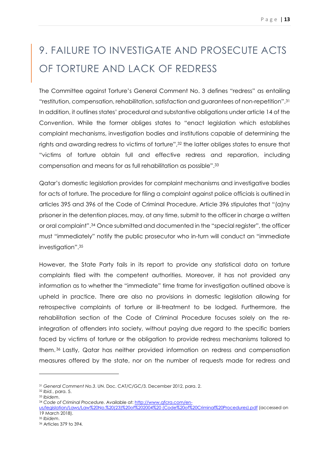# 9. FAILURE TO INVESTIGATE AND PROSECUTE ACTS OF TORTURE AND LACK OF REDRESS

The Committee against Torture's General Comment No. 3 defines "redress" as entailing "restitution, compensation, rehabilitation, satisfaction and guarantees of non-repetition".<sup>31</sup> In addition, it outlines states' procedural and substantive obligations under article 14 of the Convention. While the former obliges states to "enact legislation which establishes complaint mechanisms, investigation bodies and institutions capable of determining the rights and awarding redress to victims of torture",32 the latter obliges states to ensure that "victims of torture obtain full and effective redress and reparation, including compensation and means for as full rehabilitation as possible".<sup>33</sup>

Qatar's domestic legislation provides for complaint mechanisms and investigative bodies for acts of torture. The procedure for filing a complaint against police officials is outlined in articles 395 and 396 of the Code of Criminal Procedure. Article 396 stipulates that "(a)ny prisoner in the detention places, may, at any time, submit to the officer in charge a written or oral complaint".34 Once submitted and documented in the "special register", the officer must "immediately" notify the public prosecutor who in-turn will conduct an "immediate investigation".<sup>35</sup>

However, the State Party fails in its report to provide any statistical data on torture complaints filed with the competent authorities. Moreover, it has not provided any information as to whether the "immediate" time frame for investigation outlined above is upheld in practice. There are also no provisions in domestic legislation allowing for retrospective complaints of torture or ill-treatment to be lodged. Furthermore, the rehabilitation section of the Code of Criminal Procedure focuses solely on the reintegration of offenders into society, without paying due regard to the specific barriers faced by victims of torture or the obligation to provide redress mechanisms tailored to them. <sup>36</sup> Lastly, Qatar has neither provided information on redress and compensation measures offered by the state, nor on the number of requests made for redress and

 $\overline{a}$ 

<sup>34</sup> *Code of Criminal Procedure.* Available at: http://www.qfcra.com/en-

us/legislation/Laws/Law%20No.%20(23)%20of%202004%20 (Code%20of%20Criminal%20Procedures).pdf (accessed on 19 March 2018).

<sup>31</sup> *General Comment No.3*. UN. Doc. CAT/C/GC/3. December 2012, para. 2.

<sup>32</sup> *Ibid.*, para. 5.

<sup>33</sup> *Ibidem*.

<sup>35</sup> *Ibidem*.

<sup>36</sup> Articles 379 to 394.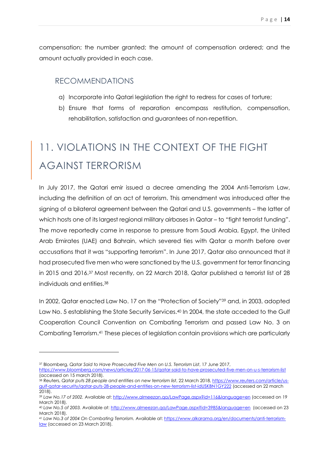compensation; the number granted; the amount of compensation ordered; and the amount actually provided in each case.

#### RECOMMENDATIONS

- a) Incorporate into Qatari legislation the right to redress for cases of torture;
- b) Ensure that forms of reparation encompass restitution, compensation, rehabilitation, satisfaction and guarantees of non-repetition.

# 11. VIOLATIONS IN THE CONTEXT OF THE FIGHT AGAINST TERRORISM

In July 2017, the Qatari emir issued a decree amending the 2004 Anti-Terrorism Law, including the definition of an act of terrorism. This amendment was introduced after the signing of a bilateral agreement between the Qatari and U.S. governments – the latter of which hosts one of its largest regional military airbases in Qatar – to "fight terrorist funding". The move reportedly came in response to pressure from Saudi Arabia, Egypt, the United Arab Emirates (UAE) and Bahrain, which severed ties with Qatar a month before over accusations that it was "supporting terrorism". In June 2017, Qatar also announced that it had prosecuted five men who were sanctioned by the U.S. government for terror financing in 2015 and 2016.37 Most recently, on 22 March 2018, Qatar published a terrorist list of 28 individuals and entities.<sup>38</sup>

In 2002, Qatar enacted Law No. 17 on the "Protection of Society"39 and, in 2003, adopted Law No. 5 establishing the State Security Services.<sup>40</sup> In 2004, the state acceded to the Gulf Cooperation Council Convention on Combating Terrorism and passed Law No. 3 on Combating Terrorism.41 These pieces of legislation contain provisions which are particularly

<sup>37</sup> Bloomberg, *Qatar Said to Have Prosecuted Five Men on U.S. Terrorism List*, 17 June 2017,

https://www.bloomberg.com/news/articles/2017-06-15/qatar-said-to-have-prosecuted-five-men-on-u-s-terrorism-list (accessed on 15 march 2018).

<sup>38</sup> Reuters, *Qatar puts 28 people and entities on new terrorism list*, 22 March 2018, https://www.reuters.com/article/usgulf-qatar-security/qatar-puts-28-people-and-entities-on-new-terrorism-list-idUSKBN1GY222 (accessed on 22 march 2018).

<sup>39</sup> *Law No.17 of 2002.* Available at: http://www.almeezan.qa/LawPage.aspx?id=116&language=en (accessed on 19 March 2018).

<sup>40</sup> *Law No.5 of 2003.* Available at: http://www.almeezan.qa/LawPage.aspx?id=3985&language=en (accessed on 23 March 2018).

<sup>41</sup> *Law No.3 of 2004 On Combating Terrorism.* Available at: https://www.alkarama.org/en/documents/anti-terrorismlaw (accessed on 23 March 2018).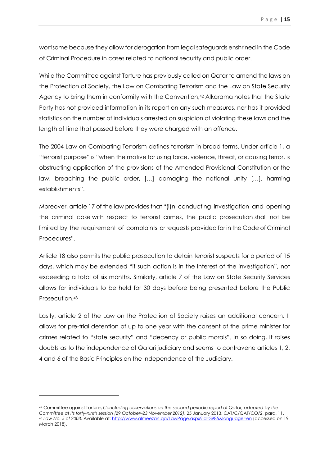worrisome because they allow for derogation from legal safeguards enshrined in the Code of Criminal Procedure in cases related to national security and public order.

While the Committee against Torture has previously called on Qatar to amend the laws on the Protection of Society, the Law on Combating Terrorism and the Law on State Security Agency to bring them in conformity with the Convention,42 Alkarama notes that the State Party has not provided information in its report on any such measures, nor has it provided statistics on the number of individuals arrested on suspicion of violating these laws and the length of time that passed before they were charged with an offence.

The 2004 Law on Combating Terrorism defines terrorism in broad terms. Under article 1, a "terrorist purpose" is "when the motive for using force, violence, threat, or causing terror, is obstructing application of the provisions of the Amended Provisional Constitution or the law, breaching the public order, […] damaging the national unity […], harming establishments".

Moreover, article 17 of the law provides that "(i)n conducting investigation and opening the criminal case with respect to terrorist crimes, the public prosecution shall not be limited by the requirement of complaints or requests provided for in the Code of Criminal Procedures".

Article 18 also permits the public prosecution to detain terrorist suspects for a period of 15 days, which may be extended "if such action is in the interest of the investigation", not exceeding a total of six months. Similarly, article 7 of the Law on State Security Services allows for individuals to be held for 30 days before being presented before the Public Prosecution.<sup>43</sup>

Lastly, article 2 of the Law on the Protection of Society raises an additional concern. It allows for pre-trial detention of up to one year with the consent of the prime minister for crimes related to "state security" and "decency or public morals". In so doing, it raises doubts as to the independence of Qatari judiciary and seems to contravene articles 1, 2, 4 and 6 of the Basic Principles on the Independence of the Judiciary.

<sup>42</sup> Committee against Torture, *Concluding observations on the second periodic report of Qatar, adopted by the Committee at its forty-ninth session (29 October–23 November 2012)*, 25 January 2013, CAT/C/QAT/CO/2, para. 11. <sup>43</sup> *Law No. 5 of 2003.* Available at: http://www.almeezan.qa/LawPage.aspx?id=3985&language=en (accessed on 19 March 2018).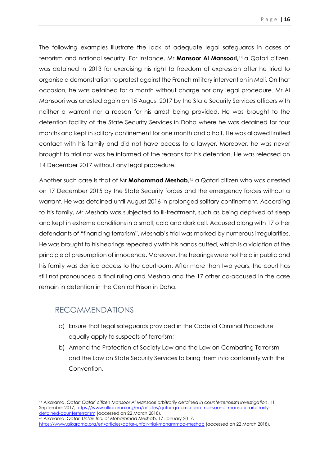The following examples illustrate the lack of adequate legal safeguards in cases of terrorism and national security. For instance, Mr **Mansoor Al Mansoori,**44 a Qatari citizen, was detained in 2013 for exercising his right to freedom of expression after he tried to organise a demonstration to protest against the French military intervention in Mali. On that occasion, he was detained for a month without charge nor any legal procedure. Mr Al Mansoori was arrested again on 15 August 2017 by the State Security Services officers with neither a warrant nor a reason for his arrest being provided. He was brought to the detention facility of the State Security Services in Doha where he was detained for four months and kept in solitary confinement for one month and a half. He was allowed limited contact with his family and did not have access to a lawyer. Moreover, he was never brought to trial nor was he informed of the reasons for his detention. He was released on 14 December 2017 without any legal procedure.

Another such case is that of Mr **Mohammad Meshab**, <sup>45</sup> a Qatari citizen who was arrested on 17 December 2015 by the State Security forces and the emergency forces without a warrant. He was detained until August 2016 in prolonged solitary confinement. According to his family, Mr Meshab was subjected to ill-treatment, such as being deprived of sleep and kept in extreme conditions in a small, cold and dark cell. Accused along with 17 other defendants of "financing terrorism", Meshab's trial was marked by numerous irregularities. He was brought to his hearings repeatedly with his hands cuffed, which is a violation of the principle of presumption of innocence. Moreover, the hearings were not held in public and his family was denied access to the courtroom. After more than two years, the court has still not pronounced a final ruling and Meshab and the 17 other co-accused in the case remain in detention in the Central Prison in Doha.

### RECOMMENDATIONS

l

- a) Ensure that legal safeguards provided in the Code of Criminal Procedure equally apply to suspects of terrorism;
- b) Amend the Protection of Society Law and the Law on Combating Terrorism and the Law on State Security Services to bring them into conformity with the Convention.

<sup>44</sup> Alkarama, *Qatar: Qatari citizen Mansoor Al Mansoori arbitrarily detained in counterterrorism investigation*, 11 September 2017, https://www.alkarama.org/en/articles/qatar-qatari-citizen-mansoor-al-mansoori-arbitrarilydetained-counterterrorism (accessed on 22 March 2018).

<sup>45</sup> Alkarama, *Qatar: Unfair Trial of Mohammad Meshab*, 17 January 2017, https://www.alkarama.org/en/articles/qatar-unfair-trial-mohammad-meshab (accessed on 22 March 2018).